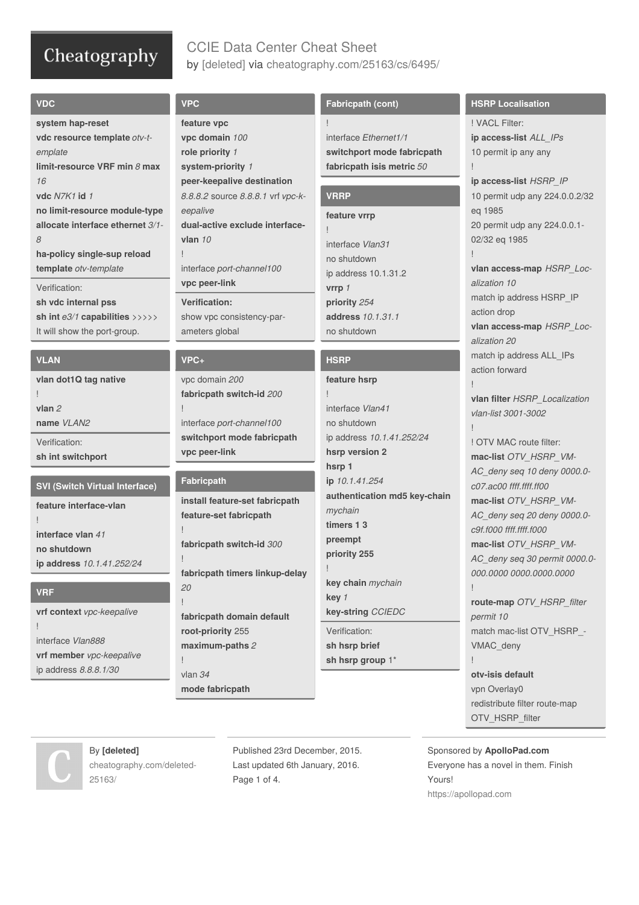# CCIE Data Center Cheat Sheet by [\[deleted\]](http://www.cheatography.com/deleted-25163/) via [cheatography.com/25163/cs/6495/](http://www.cheatography.com/deleted-25163/cheat-sheets/ccie-data-center)

| <b>VDC</b>                                                   |
|--------------------------------------------------------------|
| system hap-reset                                             |
| vdc resource template otv-t-                                 |
| emplate                                                      |
| limit-resource VRF min $8$ max                               |
| 16                                                           |
| vdc N7K1 id 1                                                |
| no limit-resource module-type                                |
| allocate interface ethernet 3/1-                             |
| 8                                                            |
| ha-policy single-sup reload                                  |
| template otv-template                                        |
| Verification:                                                |
| sh vdc internal pss                                          |
| sh int $e3/1$ capabilities $\rangle \rangle \rangle \rangle$ |

### **VLAN**

**vlan dot1Q tag native** ! **vlan** *2* **name** *VLAN2* Verification: **sh int switchport**

It will show the port-group.

### **SVI (Switch Virtual Interface)**

**feature interface-vlan** ! **interface vlan** *41* **no shutdown ip address** *10.1.41.252/24*

### **VRF**

**vrf context** *vpc-keepalive* ! interface *Vlan888* **vrf member** *vpc-keepalive* ip address *8.8.8.1/30*

## **VPC feature vpc vpc domain** *100* **role priority** *1* **system-priority** *1* **peer-keepalive destination** *8.8.8.2* source *8.8.8.1* vrf *vpc-k‐ eepalive* **dual-active exclude interfacevlan** *10* !

interface *port-channel100* **vpc peer-link**

### **Verification:** show vpc consistency-par‐ ameters global

### **VPC+**

!

!

!

vpc domain *200* **fabricpath switch-id** *200*

interface *port-channel100* **switchport mode fabricpath vpc peer-link**

## **Fabricpath**

**install feature-set fabricpath feature-set fabricpath**

**fabricpath switch-id** *300*

**fabricpath timers linkup-delay** *20*

! **fabricpath domain default root-priority** 255 **maximum-paths** *2* !

vlan *34* **mode fabricpath**

## **Fabricpath (cont)**

! interface *Ethernet1/1* **switchport mode fabricpath fabricpath isis metric** *50*

## **VRRP**

#### **feature vrrp**

! interface *Vlan31* no shutdown ip address 10.1.31.2 **vrrp** *1* **priority** *254* **address** *10.1.31.1* no shutdown

## **HSRP**

**feature hsrp**

! interface *Vlan41* no shutdown ip address *10.1.41.252/24* **hsrp version 2 hsrp 1 ip** *10.1.41.254* **authentication md5 key-chain** *mychain* **timers 1 3 preempt priority 255** !

**key chain** *mychain* **key** *1* **key‐string** *CCIEDC*

Verification: **sh hsrp brief sh hsrp group** 1\*

### **HSRP Localisation**

! VACL Filter: **ip access-list** *ALL\_IPs* 10 permit ip any any ! **ip access-list** *HSRP\_IP*

10 permit udp any 224.0.0.2/32 eq 1985 20 permit udp any 224.0.0.1‐ 02/32 eq 1985 ! **vlan access-map** *HSRP\_Loc‐*

*alization 10* match ip address HSRP\_IP action drop **vlan access-map** *HSRP\_Loc‐ alization 20* match ip address ALL\_IPs action forward !

**vlan filter** *HSRP\_Localization vlan-list 3001-3002*

!

! OTV MAC route filter: **mac-list** *OTV\_HSRP\_VM‐ AC\_deny seq 10 deny 0000.0‐ c07.ac00 ffff.ffff.ff00* **mac-list** *OTV\_HSRP\_VM‐ AC\_deny seq 20 deny 0000.0‐ c9f.f000 ffff.ffff.f000* **mac-list** *OTV\_HSRP\_VM‐ AC\_deny seq 30 permit 0000.0‐ 000.0000 0000.0000.0000* !

**route-map** *OTV\_HSRP\_filter permit 10* match mac-list OTV\_HSRP\_-VMAC\_deny !

**otv-isis default** vpn Overlay0 redistribute filter route-map OTV\_HSRP\_filter

By **[deleted]** [cheatography.com/deleted-](http://www.cheatography.com/deleted-25163/)25163/

Published 23rd December, 2015. Last updated 6th January, 2016. Page 1 of 4.

Sponsored by **ApolloPad.com** Everyone has a novel in them. Finish Yours! <https://apollopad.com>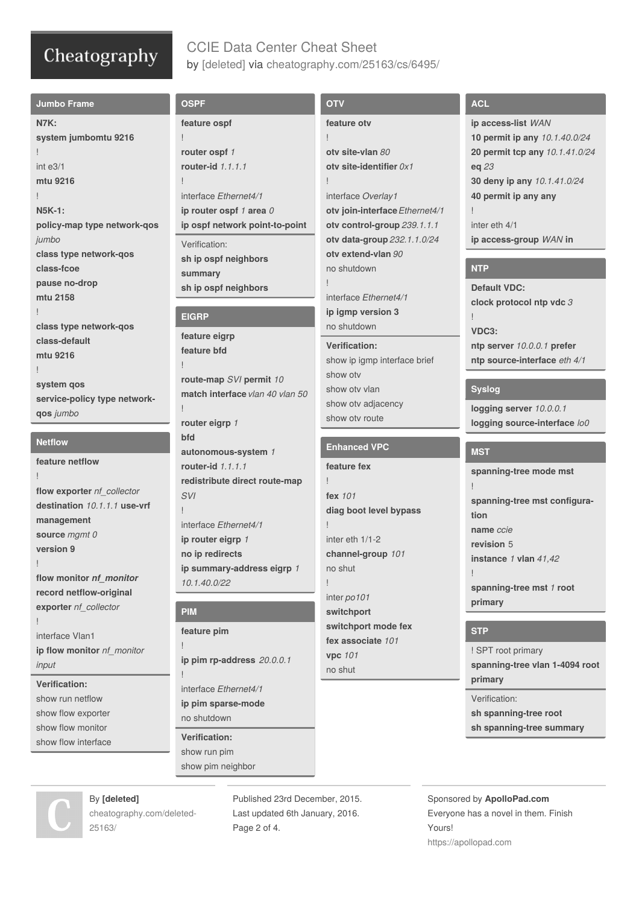## CCIE Data Center Cheat Sheet by [\[deleted\]](http://www.cheatography.com/deleted-25163/) via [cheatography.com/25163/cs/6495/](http://www.cheatography.com/deleted-25163/cheat-sheets/ccie-data-center)

| <b>Jumbo Frame</b>           | <b>OSPF</b>                                 | <b>OTV</b>                     | <b>ACL</b>                     |
|------------------------------|---------------------------------------------|--------------------------------|--------------------------------|
| <b>N7K:</b>                  | feature ospf                                | feature oty                    | ip access-list WAN             |
| system jumbomtu 9216         |                                             |                                | 10 permit ip any 10.1.40.0/24  |
|                              | router ospf 1                               | oty site-vlan 80               | 20 permit tcp any 10.1.41.0/24 |
| int e3/1                     | router-id 1.1.1.1                           | oty site-identifier $0x1$      | eq 23                          |
| mtu 9216                     |                                             |                                | 30 deny ip any 10.1.41.0/24    |
|                              | interface Ethernet4/1                       | interface Overlay1             | 40 permit ip any any           |
| <b>N5K-1:</b>                | ip router ospf 1 area 0                     | otv join-interface Ethernet4/1 |                                |
| policy-map type network-qos  | ip ospf network point-to-point              | otv control-group 239.1.1.1    | inter eth 4/1                  |
| jumbo                        | Verification:                               | otv data-group 232.1.1.0/24    | ip access-group WAN in         |
| class type network-qos       |                                             | oty extend-vlan 90             |                                |
| class-fcoe                   | sh ip ospf neighbors                        | no shutdown                    | <b>NTP</b>                     |
| pause no-drop                | summary                                     |                                |                                |
| mtu 2158                     | sh ip ospf neighbors                        | interface Ethernet4/1          | <b>Default VDC:</b>            |
|                              |                                             | ip igmp version 3              | clock protocol ntp vdc 3       |
| class type network-qos       | <b>EIGRP</b>                                | no shutdown                    |                                |
| class-default                | feature eigrp                               |                                | VDC3:                          |
| mtu 9216                     | feature bfd                                 | <b>Verification:</b>           | ntp server 10.0.0.1 prefer     |
|                              |                                             | show ip igmp interface brief   | ntp source-interface eth 4/1   |
| system qos                   | route-map SVI permit 10                     | show oty                       |                                |
| service-policy type network- | match interface vlan 40 vlan 50             | show oty vlan                  | <b>Syslog</b>                  |
|                              |                                             | show otv adjacency             | logging server 10.0.0.1        |
| qos jumbo                    | router eigrp 1                              | show oty route                 | logging source-interface lo0   |
|                              | bfd                                         |                                |                                |
|                              |                                             |                                |                                |
| <b>Netflow</b>               | autonomous-system 1                         | <b>Enhanced VPC</b>            | <b>MST</b>                     |
| feature netflow              | router-id 1.1.1.1                           | feature fex                    |                                |
|                              |                                             |                                | spanning-tree mode mst         |
| flow exporter nf_collector   | redistribute direct route-map<br><b>SVI</b> | fex 101                        |                                |
| destination 10.1.1.1 use-vrf |                                             |                                | spanning-tree mst configura-   |
| management                   |                                             | diag boot level bypass         | tion                           |
| source mgmt 0                | interface Ethernet4/1                       |                                | name ccie                      |
| version 9                    | ip router eigrp 1                           | inter eth 1/1-2                | revision 5                     |
|                              | no ip redirects                             | channel-group 101              | instance 1 vlan 41,42          |
| flow monitor nf_monitor      | ip summary-address eigrp 1                  | no shut                        |                                |
| record netflow-original      | 10.1.40.0/22                                |                                | spanning-tree mst 1 root       |
| exporter nf_collector        |                                             | inter po101                    | primary                        |
|                              | <b>PIM</b>                                  | switchport                     |                                |
| interface Vlan1              | feature pim                                 | switchport mode fex            | <b>STP</b>                     |
| ip flow monitor nf_monitor   |                                             | fex associate 101              | ! SPT root primary             |
| input                        | ip pim rp-address 20.0.0.1                  | vpc 101                        | spanning-tree vlan 1-4094 root |
|                              |                                             | no shut                        | primary                        |
| <b>Verification:</b>         | interface Ethernet4/1                       |                                |                                |
| show run netflow             | ip pim sparse-mode                          |                                | Verification:                  |
| show flow exporter           | no shutdown                                 |                                | sh spanning-tree root          |
| show flow monitor            | <b>Verification:</b>                        |                                | sh spanning-tree summary       |
| show flow interface          |                                             |                                |                                |
|                              | show run pim<br>show pim neighbor           |                                |                                |



By **[deleted]** [cheatography.com/deleted-](http://www.cheatography.com/deleted-25163/) Published 23rd December, 2015. Last updated 6th January, 2016. Page 2 of 4.

Sponsored by **ApolloPad.com** Everyone has a novel in them. Finish Yours! <https://apollopad.com>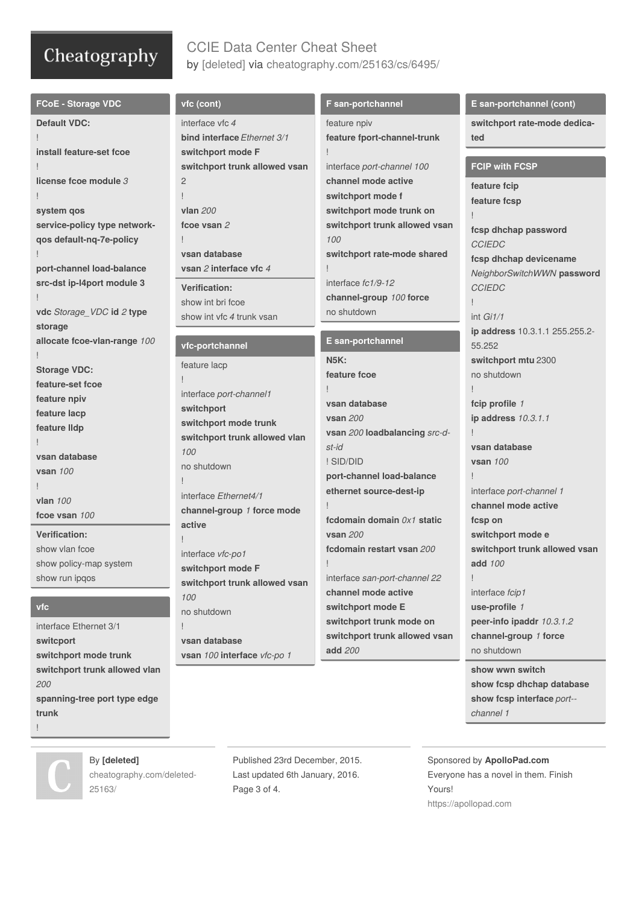# CCIE Data Center Cheat Sheet by [\[deleted\]](http://www.cheatography.com/deleted-25163/) via [cheatography.com/25163/cs/6495/](http://www.cheatography.com/deleted-25163/cheat-sheets/ccie-data-center)

| <b>FCoE - Storage VDC</b>          | vfc (cont)                            | F san-portchannel             | E san-portchannel (cont)       |
|------------------------------------|---------------------------------------|-------------------------------|--------------------------------|
| <b>Default VDC:</b>                | interface vfc 4                       | feature npiv                  | switchport rate-mode dedica-   |
|                                    | <b>bind interface Ethernet 3/1</b>    | feature fport-channel-trunk   | ted                            |
| install feature-set fcoe           | switchport mode F                     |                               |                                |
|                                    | switchport trunk allowed vsan         | interface port-channel 100    | <b>FCIP with FCSP</b>          |
| license fcoe module 3              | $\overline{2}$                        | channel mode active           | feature fcip                   |
|                                    |                                       | switchport mode f             | feature fcsp                   |
| system qos                         | vlan 200                              | switchport mode trunk on      |                                |
| service-policy type network-       | fcoe vsan 2                           | switchport trunk allowed vsan | fcsp dhchap password           |
| qos default-nq-7e-policy           | L                                     | 100                           | <b>CCIEDC</b>                  |
|                                    | vsan database                         | switchport rate-mode shared   | fcsp dhchap devicename         |
| port-channel load-balance          | vsan 2 interface vfc 4                |                               | NeighborSwitchWWN password     |
| src-dst ip-I4port module 3         | <b>Verification:</b>                  | interface fc1/9-12            | <b>CCIEDC</b>                  |
|                                    | show int bri fcoe                     | channel-group 100 force       |                                |
| vdc Storage_VDC id 2 type          | show int vfc 4 trunk ysan             | no shutdown                   | int Gi1/1                      |
| storage                            |                                       |                               | ip address 10.3.1.1 255.255.2- |
| allocate fcoe-vlan-range 100       | vfc-portchannel                       | E san-portchannel             | 55.252                         |
|                                    | feature lacp                          | <b>N5K:</b>                   | switchport mtu 2300            |
| <b>Storage VDC:</b>                |                                       | feature fcoe                  | no shutdown                    |
| feature-set fcoe                   |                                       |                               |                                |
| feature npiv                       | interface port-channel1<br>switchport | vsan database                 | fcip profile 1                 |
| feature lacp                       | switchport mode trunk                 | <b>vsan 200</b>               | ip address 10.3.1.1            |
| feature IIdp                       | switchport trunk allowed vlan         | vsan 200 loadbalancing src-d- |                                |
|                                    | 100                                   | st-id                         | vsan database                  |
| vsan database                      |                                       | ! SID/DID                     | <b>vsan 100</b>                |
| <b>vsan 100</b>                    | no shutdown                           | port-channel load-balance     |                                |
|                                    | interface Ethernet4/1                 | ethernet source-dest-ip       | interface port-channel 1       |
| vlan 100                           | channel-group 1 force mode            |                               | channel mode active            |
| fcoe vsan 100                      | active                                | fcdomain domain $0x1$ static  | fcsp on                        |
| <b>Verification:</b>               | L                                     | <b>vsan 200</b>               | switchport mode e              |
| show ylan fcoe                     | interface vfc-po1                     | fcdomain restart vsan 200     | switchport trunk allowed vsan  |
| show policy-map system             | switchport mode F                     |                               | add 100                        |
| show run ipqos                     | switchport trunk allowed vsan         | interface san-port-channel 22 |                                |
|                                    | 100                                   | channel mode active           | interface fcip1                |
| vfc                                | no shutdown                           | switchport mode E             | use-profile 1                  |
| interface Ethernet 3/1             | Ţ                                     | switchport trunk mode on      | peer-info ipaddr 10.3.1.2      |
|                                    | vsan database                         | switchport trunk allowed vsan | channel-group 1 force          |
| switcport<br>switchport mode trunk | vsan 100 interface vfc-po 1           | add 200                       | no shutdown                    |
| switchport trunk allowed vlan      |                                       |                               | show wwn switch                |
| 200                                |                                       |                               | show fcsp dhchap database      |

*200* **spanning-tree port type edge trunk** !

By **[deleted]** [cheatography.com/deleted-](http://www.cheatography.com/deleted-25163/)25163/

Published 23rd December, 2015. Last updated 6th January, 2016. Page 3 of 4.

Sponsored by **ApolloPad.com** Everyone has a novel in them. Finish Yours! <https://apollopad.com>

*channel 1*

**show fcsp interface** *port-‐*